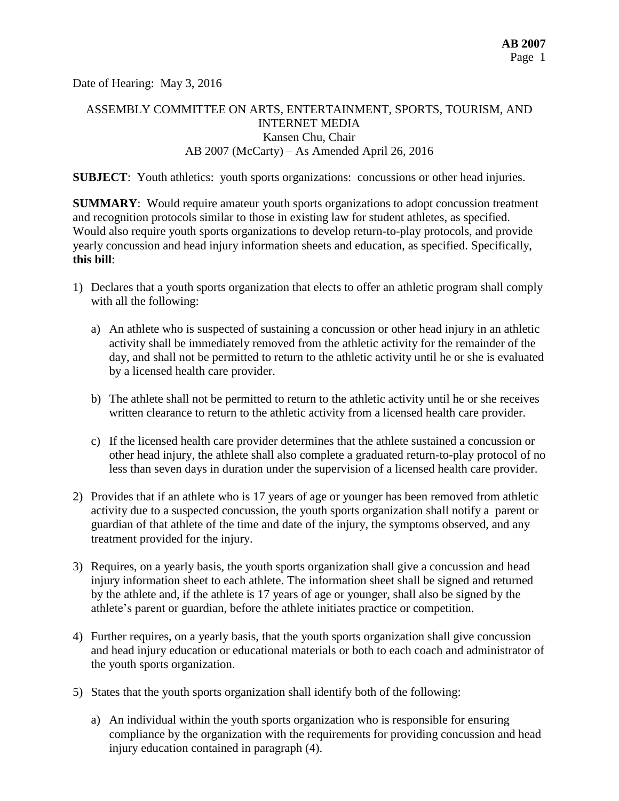Date of Hearing: May 3, 2016

# ASSEMBLY COMMITTEE ON ARTS, ENTERTAINMENT, SPORTS, TOURISM, AND INTERNET MEDIA Kansen Chu, Chair AB 2007 (McCarty) – As Amended April 26, 2016

**SUBJECT:** Youth athletics: youth sports organizations: concussions or other head injuries.

**SUMMARY**: Would require amateur youth sports organizations to adopt concussion treatment and recognition protocols similar to those in existing law for student athletes, as specified. Would also require youth sports organizations to develop return-to-play protocols, and provide yearly concussion and head injury information sheets and education, as specified. Specifically, **this bill**:

- 1) Declares that a youth sports organization that elects to offer an athletic program shall comply with all the following:
	- a) An athlete who is suspected of sustaining a concussion or other head injury in an athletic activity shall be immediately removed from the athletic activity for the remainder of the day, and shall not be permitted to return to the athletic activity until he or she is evaluated by a licensed health care provider.
	- b) The athlete shall not be permitted to return to the athletic activity until he or she receives written clearance to return to the athletic activity from a licensed health care provider.
	- c) If the licensed health care provider determines that the athlete sustained a concussion or other head injury, the athlete shall also complete a graduated return-to-play protocol of no less than seven days in duration under the supervision of a licensed health care provider.
- 2) Provides that if an athlete who is 17 years of age or younger has been removed from athletic activity due to a suspected concussion, the youth sports organization shall notify a parent or guardian of that athlete of the time and date of the injury, the symptoms observed, and any treatment provided for the injury.
- 3) Requires, on a yearly basis, the youth sports organization shall give a concussion and head injury information sheet to each athlete. The information sheet shall be signed and returned by the athlete and, if the athlete is 17 years of age or younger, shall also be signed by the athlete's parent or guardian, before the athlete initiates practice or competition.
- 4) Further requires, on a yearly basis, that the youth sports organization shall give concussion and head injury education or educational materials or both to each coach and administrator of the youth sports organization.
- 5) States that the youth sports organization shall identify both of the following:
	- a) An individual within the youth sports organization who is responsible for ensuring compliance by the organization with the requirements for providing concussion and head injury education contained in paragraph (4).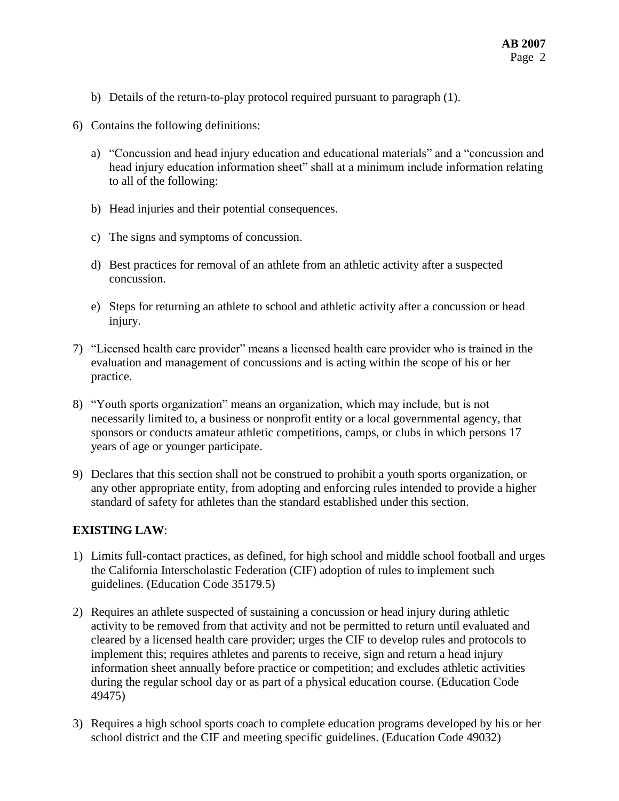- b) Details of the return-to-play protocol required pursuant to paragraph (1).
- 6) Contains the following definitions:
	- a) "Concussion and head injury education and educational materials" and a "concussion and head injury education information sheet" shall at a minimum include information relating to all of the following:
	- b) Head injuries and their potential consequences.
	- c) The signs and symptoms of concussion.
	- d) Best practices for removal of an athlete from an athletic activity after a suspected concussion.
	- e) Steps for returning an athlete to school and athletic activity after a concussion or head injury.
- 7) "Licensed health care provider" means a licensed health care provider who is trained in the evaluation and management of concussions and is acting within the scope of his or her practice.
- 8) "Youth sports organization" means an organization, which may include, but is not necessarily limited to, a business or nonprofit entity or a local governmental agency, that sponsors or conducts amateur athletic competitions, camps, or clubs in which persons 17 years of age or younger participate.
- 9) Declares that this section shall not be construed to prohibit a youth sports organization, or any other appropriate entity, from adopting and enforcing rules intended to provide a higher standard of safety for athletes than the standard established under this section.

# **EXISTING LAW**:

- 1) Limits full-contact practices, as defined, for high school and middle school football and urges the California Interscholastic Federation (CIF) adoption of rules to implement such guidelines. (Education Code 35179.5)
- 2) Requires an athlete suspected of sustaining a concussion or head injury during athletic activity to be removed from that activity and not be permitted to return until evaluated and cleared by a licensed health care provider; urges the CIF to develop rules and protocols to implement this; requires athletes and parents to receive, sign and return a head injury information sheet annually before practice or competition; and excludes athletic activities during the regular school day or as part of a physical education course. (Education Code 49475)
- 3) Requires a high school sports coach to complete education programs developed by his or her school district and the CIF and meeting specific guidelines. (Education Code 49032)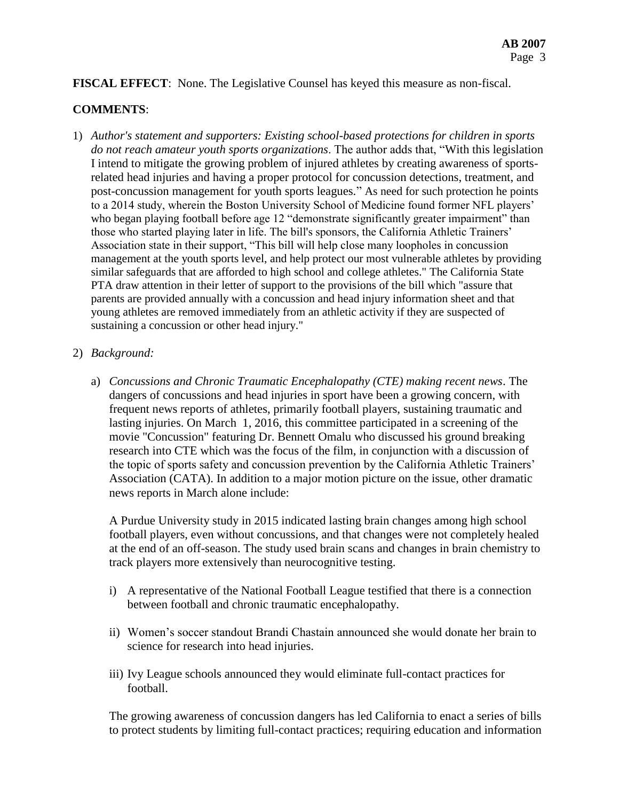# **FISCAL EFFECT**: None. The Legislative Counsel has keyed this measure as non-fiscal.

### **COMMENTS**:

1) *Author's statement and supporters: Existing school-based protections for children in sports do not reach amateur youth sports organizations*. The author adds that, "With this legislation I intend to mitigate the growing problem of injured athletes by creating awareness of sportsrelated head injuries and having a proper protocol for concussion detections, treatment, and post-concussion management for youth sports leagues." As need for such protection he points to a 2014 study, wherein the Boston University School of Medicine found former NFL players' who began playing football before age 12 "demonstrate significantly greater impairment" than those who started playing later in life. The bill's sponsors, the California Athletic Trainers' Association state in their support, "This bill will help close many loopholes in concussion management at the youth sports level, and help protect our most vulnerable athletes by providing similar safeguards that are afforded to high school and college athletes." The California State PTA draw attention in their letter of support to the provisions of the bill which "assure that parents are provided annually with a concussion and head injury information sheet and that young athletes are removed immediately from an athletic activity if they are suspected of sustaining a concussion or other head injury."

#### 2) *Background:*

a) *Concussions and Chronic Traumatic Encephalopathy (CTE) making recent news*. The dangers of concussions and head injuries in sport have been a growing concern, with frequent news reports of athletes, primarily football players, sustaining traumatic and lasting injuries. On March 1, 2016, this committee participated in a screening of the movie "Concussion" featuring Dr. Bennett Omalu who discussed his ground breaking research into CTE which was the focus of the film, in conjunction with a discussion of the topic of sports safety and concussion prevention by the California Athletic Trainers' Association (CATA). In addition to a major motion picture on the issue, other dramatic news reports in March alone include:

A Purdue University study in 2015 indicated lasting brain changes among high school football players, even without concussions, and that changes were not completely healed at the end of an off-season. The study used brain scans and changes in brain chemistry to track players more extensively than neurocognitive testing.

- i) A representative of the National Football League testified that there is a connection between football and chronic traumatic encephalopathy.
- ii) Women's soccer standout Brandi Chastain announced she would donate her brain to science for research into head injuries.
- iii) Ivy League schools announced they would eliminate full-contact practices for football.

The growing awareness of concussion dangers has led California to enact a series of bills to protect students by limiting full-contact practices; requiring education and information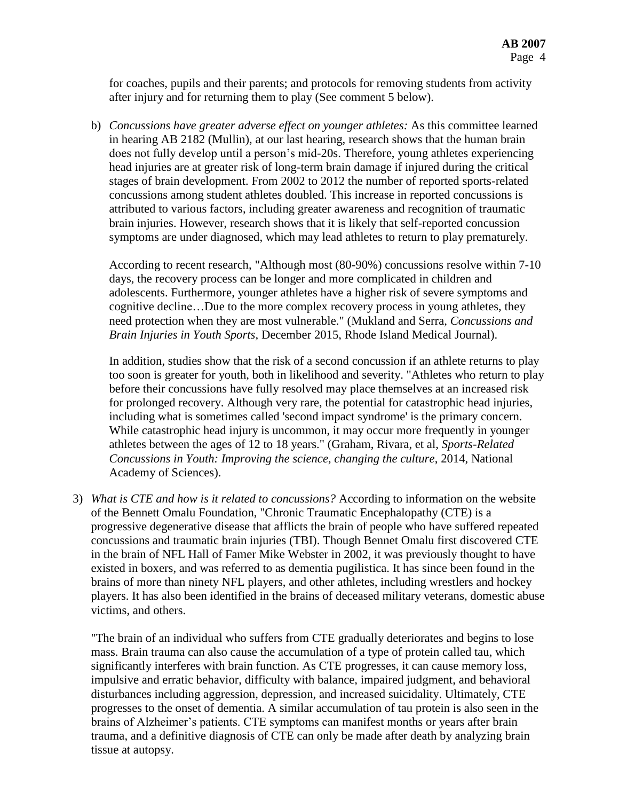for coaches, pupils and their parents; and protocols for removing students from activity after injury and for returning them to play (See comment 5 below).

b) *Concussions have greater adverse effect on younger athletes:* As this committee learned in hearing AB 2182 (Mullin), at our last hearing, research shows that the human brain does not fully develop until a person's mid-20s. Therefore, young athletes experiencing head injuries are at greater risk of long-term brain damage if injured during the critical stages of brain development. From 2002 to 2012 the number of reported sports-related concussions among student athletes doubled. This increase in reported concussions is attributed to various factors, including greater awareness and recognition of traumatic brain injuries. However, research shows that it is likely that self-reported concussion symptoms are under diagnosed, which may lead athletes to return to play prematurely.

According to recent research, "Although most (80-90%) concussions resolve within 7-10 days, the recovery process can be longer and more complicated in children and adolescents. Furthermore, younger athletes have a higher risk of severe symptoms and cognitive decline…Due to the more complex recovery process in young athletes, they need protection when they are most vulnerable." (Mukland and Serra, *Concussions and Brain Injuries in Youth Sports*, December 2015, Rhode Island Medical Journal).

In addition, studies show that the risk of a second concussion if an athlete returns to play too soon is greater for youth, both in likelihood and severity. "Athletes who return to play before their concussions have fully resolved may place themselves at an increased risk for prolonged recovery. Although very rare, the potential for catastrophic head injuries, including what is sometimes called 'second impact syndrome' is the primary concern. While catastrophic head injury is uncommon, it may occur more frequently in younger athletes between the ages of 12 to 18 years." (Graham, Rivara, et al, *Sports-Related Concussions in Youth: Improving the science, changing the culture*, 2014, National Academy of Sciences).

3) *What is CTE and how is it related to concussions?* According to information on the website of the Bennett Omalu Foundation, "Chronic Traumatic Encephalopathy (CTE) is a progressive degenerative disease that afflicts the brain of people who have suffered repeated concussions and traumatic brain injuries (TBI). Though Bennet Omalu first discovered CTE in the brain of NFL Hall of Famer Mike Webster in 2002, it was previously thought to have existed in boxers, and was referred to as dementia pugilistica. It has since been found in the brains of more than ninety NFL players, and other athletes, including wrestlers and hockey players. It has also been identified in the brains of deceased military veterans, domestic abuse victims, and others.

"The brain of an individual who suffers from CTE gradually deteriorates and begins to lose mass. Brain trauma can also cause the accumulation of a type of protein called tau, which significantly interferes with brain function. As CTE progresses, it can cause memory loss, impulsive and erratic behavior, difficulty with balance, impaired judgment, and behavioral disturbances including aggression, depression, and increased suicidality. Ultimately, CTE progresses to the onset of dementia. A similar accumulation of tau protein is also seen in the brains of Alzheimer's patients. CTE symptoms can manifest months or years after brain trauma, and a definitive diagnosis of CTE can only be made after death by analyzing brain tissue at autopsy.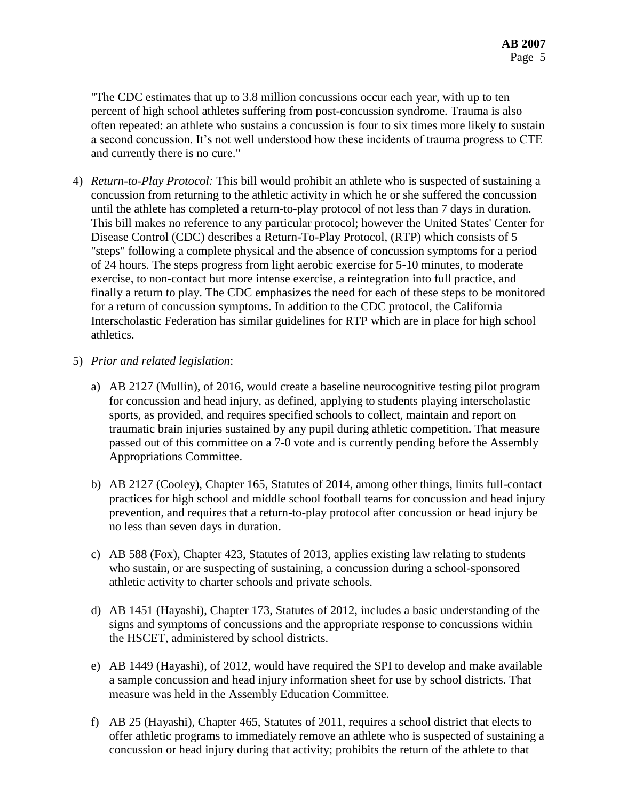"The CDC estimates that up to 3.8 million concussions occur each year, with up to ten percent of high school athletes suffering from post-concussion syndrome. Trauma is also often repeated: an athlete who sustains a concussion is four to six times more likely to sustain a second concussion. It's not well understood how these incidents of trauma progress to CTE and currently there is no cure."

- 4) *Return-to-Play Protocol:* This bill would prohibit an athlete who is suspected of sustaining a concussion from returning to the athletic activity in which he or she suffered the concussion until the athlete has completed a return-to-play protocol of not less than 7 days in duration. This bill makes no reference to any particular protocol; however the United States' Center for Disease Control (CDC) describes a Return-To-Play Protocol, (RTP) which consists of 5 "steps" following a complete physical and the absence of concussion symptoms for a period of 24 hours. The steps progress from light aerobic exercise for 5-10 minutes, to moderate exercise, to non-contact but more intense exercise, a reintegration into full practice, and finally a return to play. The CDC emphasizes the need for each of these steps to be monitored for a return of concussion symptoms. In addition to the CDC protocol, the California Interscholastic Federation has similar guidelines for RTP which are in place for high school athletics.
- 5) *Prior and related legislation*:
	- a) AB 2127 (Mullin), of 2016, would create a baseline neurocognitive testing pilot program for concussion and head injury, as defined, applying to students playing interscholastic sports, as provided, and requires specified schools to collect, maintain and report on traumatic brain injuries sustained by any pupil during athletic competition. That measure passed out of this committee on a 7-0 vote and is currently pending before the Assembly Appropriations Committee.
	- b) AB 2127 (Cooley), Chapter 165, Statutes of 2014, among other things, limits full-contact practices for high school and middle school football teams for concussion and head injury prevention, and requires that a return-to-play protocol after concussion or head injury be no less than seven days in duration.
	- c) AB 588 (Fox), Chapter 423, Statutes of 2013, applies existing law relating to students who sustain, or are suspecting of sustaining, a concussion during a school-sponsored athletic activity to charter schools and private schools.
	- d) AB 1451 (Hayashi), Chapter 173, Statutes of 2012, includes a basic understanding of the signs and symptoms of concussions and the appropriate response to concussions within the HSCET, administered by school districts.
	- e) AB 1449 (Hayashi), of 2012, would have required the SPI to develop and make available a sample concussion and head injury information sheet for use by school districts. That measure was held in the Assembly Education Committee.
	- f) AB 25 (Hayashi), Chapter 465, Statutes of 2011, requires a school district that elects to offer athletic programs to immediately remove an athlete who is suspected of sustaining a concussion or head injury during that activity; prohibits the return of the athlete to that